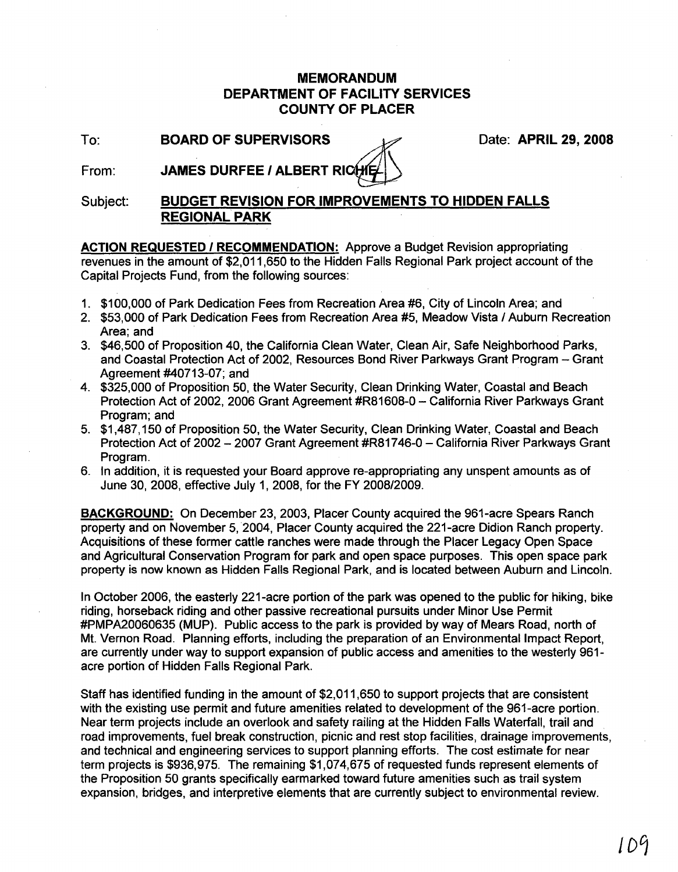## **MEMORANDUM DEPARTMENT OF FACILITY SERVICES COUNTY OF PLACER**

**To: BOARD OF SUPERVISORS** 2008

From: **JAMES DURFEE / ALBERT RICH** 

## Subject: **BUDGET REVISION FOR IMPROVEMENTS TO HIDDEN FALLS REGIONAL PARK**

**ACTION REQUESTED I RECOMMENDATION:** Approve a Budget Revision appropriating revenues in the amount of \$2,011,650 to the Hidden Falls Regional Park project account of the Capital Projects Fund, from the following sources:

- 1. \$100,000 of Park Dedication Fees from Recreation Area #6, City of Lincoln Area; and
- 2. \$53,000 of Park Dedication Fees from Recreation Area #5, Meadow Vista / Auburn Recreation Area; and
- 3. \$46,500 of Proposition 40, the California Clean Water, Clean Air, Safe Neighborhood Parks, and Coastal Protection Act of 2002, Resources Bond River Parkways Grant Program - Grant Agreement #40713-07; and
- 4. \$325,000 of Proposition 50, the Water Security, Clean Drinking Water, Coastal and Beach Protection Act of 2002, 2006 Grant Agreement #R81608-0 - California River Parkways Grant Program; and
- 5. \$1,487,150 of Proposition 50, the Water Security, Clean Drinking Water, Coastal and Beach Protection Act of 2002 - 2007 Grant Agreement #R81746-0 - California River Parkways Grant Program.
- 6. In addition, it is requested your Board approve re-appropriating any unspent amounts as of June 30,2008, effective July 1,2008, for the FY 2008/2009.

**BACKGROUND:** On December 23,2003, Placer County acquired the 961-acre Spears Ranch property and on November 5,2004, Placer County acquired the 221-acre Didion Ranch property. Acquisitions of these former cattle ranches were made through the Placer Legacy Open Space and Agricultural Conservation Program for park and open space purposes. This open space park property is now known as Hidden Falls Regional Park, and is located between Auburn and Lincoln.

In October 2006, the easterly 221-acre portion of the park was opened to the public for hiking, bike riding, horseback riding and other passive recreational pursuits under Minor Use Permit #PMPA20060635 (MUP). Public access to the park is provided by way of Mears Road, north of Mt. Vernon Road. Planning efforts, including the preparation of an Environmental Impact Report, are currently under way to support expansion of public access and amenities to the westerly 961 acre portion of Hidden Falls Regional Park.

Staff has identified funding in the amount of \$2,011,650 to support projects that are consistent with the existing use permit and future amenities related to development of the 961-acre portion. Near term projects include an overlook and safety railing at the Hidden Falls Waterfall, trail and road improvements, fuel break construction, picnic and rest stop facilities, drainage improvements, and technical and engineering services to support planning efforts. The cost estimate for near term projects is \$936,975. The remaining \$1,074,675 of requested funds represent elements of the Proposition 50 grants specifically earmarked toward future amenities such as trail system expansion, bridges, and interpretive elements that are currently subject to environmental review.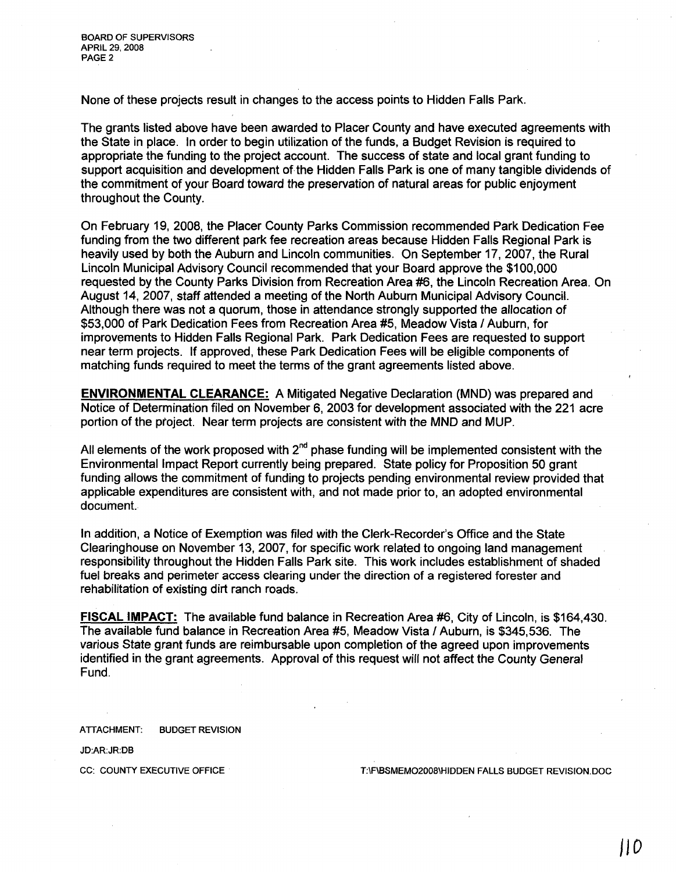None of these projects result in changes to the access points to Hidden Falls Park.

The grants listed above have been awarded to Placer County and have executed agreements with the State in place. In order to begin utilization of the funds, a Budget Revision is required to appropriate the funding to the project account. The success of state and local grant funding to support acquisition and development of the Hidden Falls Park is one of many tangible dividends of the commitment of your Board toward the preservation of natural areas for public enjoyment throughout the County.

On February 19, 2008, the Placer County Parks Commission recommended Park Dedication Fee funding from the two different park fee recreation areas because Hidden Falls Regional Park is heavily used by both the Auburn and Lincoln communities. On September 17, 2007, the Rural Lincoln Municipal Advisory Council recommended that your Board approve the \$100,000 requested by the County Parks Oivision from Recreation Area #6, the Lincoln Recreation Area. On August 14, 2007, staff attended a meeting of the North Auburn Municipal Advisory Council. Although there was not a quorum, those in attendance strongly supported the allocation of \$53,000 of Park Dedication Fees from Recreation Area #5, Meadow Vista / Auburn, for improvements to Hidden Falls Regional Park. Park Dedication Fees are requested to support near term projects. If approved, these Park Dedication Fees will be eligible components of matching funds required to meet the terms of the grant agreements listed above.

**ENVIRONMENTAL CLEARANCE:** A Mitigated Negative Declaration (MND) was prepared and Notice of Determination filed on November 6,2003 for development associated with the 221 acre portion of the project. Near term projects are consistent with the MND and MUP.

All elements of the work proposed with  $2<sup>nd</sup>$  phase funding will be implemented consistent with the Environmental Impact Report currently being prepared. State policy for Proposition 50 grant funding allows the commitment of funding to projects pending environmental review provided that applicable expenditures are consistent with, and not made prior to, an adopted environmental document.

In addition, a Notice of Exemption was filed with the Clerk-Recorder's Office and the State Clearinghouse on November 13, 2007, for specific work related to ongoing land management responsibility throughout the Hidden Falls Park site. This work includes establishment of shaded fuel breaks and perimeter access clearing under the direction of a registered forester and rehabilitation of existing dirt ranch roads.

**FISCAL IMPACT:** The available fund balance in Recreation Area #6, City of Lincoln, is \$164,430. The available fund balance in Recreation Area #5, Meadow Vista I Auburn, is \$345,536. The various State grant funds are reimbursable upon completion of the agreed upon improvements identified in the grant agreements. Approval of this request will not affect the County General Fund.

ATTACHMENT: BUDGET REVISION

JD:AR:JR:DB

CC: COUNTY EXECUTIVE OFFICE THE T:\F\BSMEMO2008\HIDDEN FALLS BUDGET REVISION.DOC